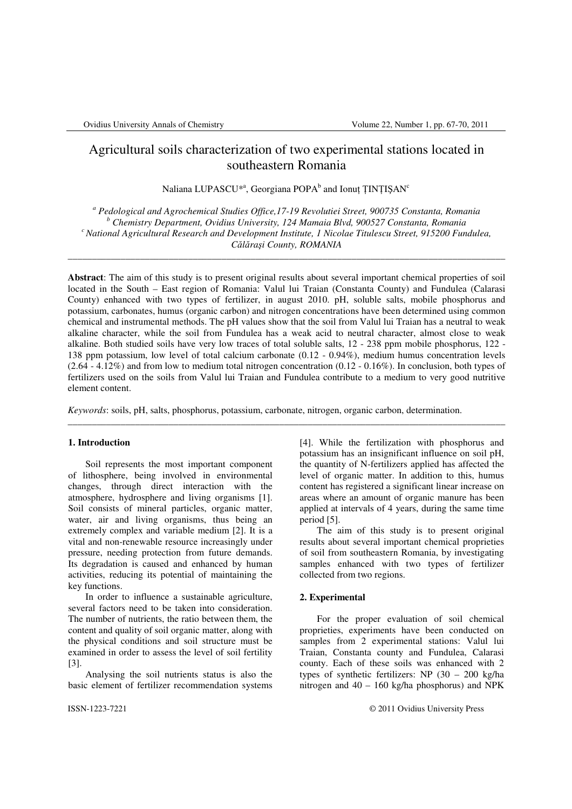# Agricultural soils characterization of two experimental stations located in southeastern Romania

Naliana LUPASCU $^{*a}$ , Georgiana POPA $^b$  and Ionuț ȚINȚIȘAN $^c$ 

<sup>a</sup> Pedological and Agrochemical Studies Office,17-19 Revolutiei Street, 900735 Constanta, Romania *b Chemistry Department, Ovidius University, 124 Mamaia Blvd, 900527 Constanta, Romania <sup>c</sup>National Agricultural Research and Development Institute, 1 Nicolae Titulescu Street, 915200 Fundulea, C*ă*l*ă*ra*ş*i County, ROMANIA*

\_\_\_\_\_\_\_\_\_\_\_\_\_\_\_\_\_\_\_\_\_\_\_\_\_\_\_\_\_\_\_\_\_\_\_\_\_\_\_\_\_\_\_\_\_\_\_\_\_\_\_\_\_\_\_\_\_\_\_\_\_\_\_\_\_\_\_\_\_\_\_\_\_\_\_\_\_\_\_\_\_\_\_\_\_\_\_\_\_\_\_

**Abstract**: The aim of this study is to present original results about several important chemical properties of soil located in the South – East region of Romania: Valul lui Traian (Constanta County) and Fundulea (Calarasi County) enhanced with two types of fertilizer, in august 2010. pH, soluble salts, mobile phosphorus and potassium, carbonates, humus (organic carbon) and nitrogen concentrations have been determined using common chemical and instrumental methods. The pH values show that the soil from Valul lui Traian has a neutral to weak alkaline character, while the soil from Fundulea has a weak acid to neutral character, almost close to weak alkaline. Both studied soils have very low traces of total soluble salts, 12 - 238 ppm mobile phosphorus, 122 - 138 ppm potassium, low level of total calcium carbonate (0.12 - 0.94%), medium humus concentration levels  $(2.64 - 4.12\%)$  and from low to medium total nitrogen concentration  $(0.12 - 0.16\%)$ . In conclusion, both types of fertilizers used on the soils from Valul lui Traian and Fundulea contribute to a medium to very good nutritive element content.

\_\_\_\_\_\_\_\_\_\_\_\_\_\_\_\_\_\_\_\_\_\_\_\_\_\_\_\_\_\_\_\_\_\_\_\_\_\_\_\_\_\_\_\_\_\_\_\_\_\_\_\_\_\_\_\_\_\_\_\_\_\_\_\_\_\_\_\_\_\_\_\_\_\_\_\_\_\_\_\_\_\_\_\_\_\_\_\_\_\_\_

*Keywords*: soils, pH, salts, phosphorus, potassium, carbonate, nitrogen, organic carbon, determination.

# **1. Introduction**

 Soil represents the most important component of lithosphere, being involved in environmental changes, through direct interaction with the atmosphere, hydrosphere and living organisms [1]. Soil consists of mineral particles, organic matter, water, air and living organisms, thus being an extremely complex and variable medium [2]. It is a vital and non-renewable resource increasingly under pressure, needing protection from future demands. Its degradation is caused and enhanced by human activities, reducing its potential of maintaining the key functions.

 In order to influence a sustainable agriculture, several factors need to be taken into consideration. The number of nutrients, the ratio between them, the content and quality of soil organic matter, along with the physical conditions and soil structure must be examined in order to assess the level of soil fertility [3].

 Analysing the soil nutrients status is also the basic element of fertilizer recommendation systems [4]. While the fertilization with phosphorus and potassium has an insignificant influence on soil pH, the quantity of N-fertilizers applied has affected the level of organic matter. In addition to this, humus content has registered a significant linear increase on areas where an amount of organic manure has been applied at intervals of 4 years, during the same time period [5].

 The aim of this study is to present original results about several important chemical proprieties of soil from southeastern Romania, by investigating samples enhanced with two types of fertilizer collected from two regions.

# **2. Experimental**

 For the proper evaluation of soil chemical proprieties, experiments have been conducted on samples from 2 experimental stations: Valul lui Traian, Constanta county and Fundulea, Calarasi county. Each of these soils was enhanced with 2 types of synthetic fertilizers: NP (30 – 200 kg/ha nitrogen and 40 – 160 kg/ha phosphorus) and NPK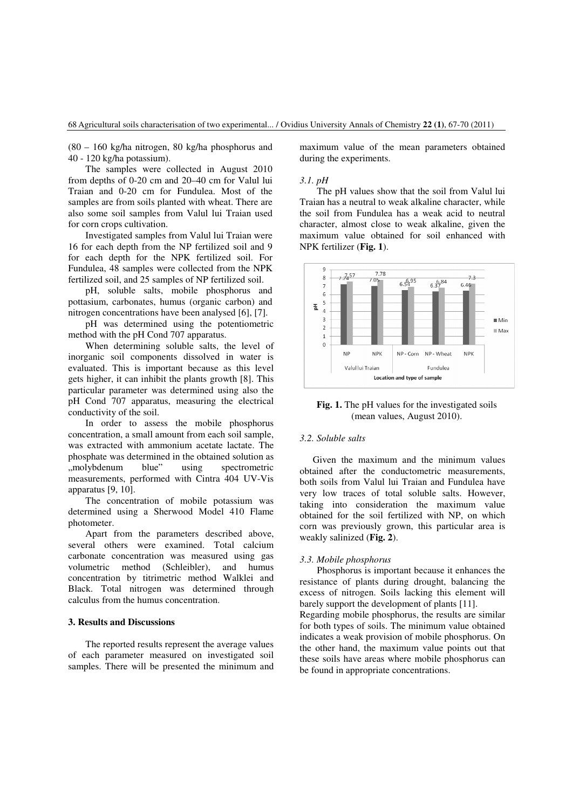# 68 Agricultural soils characterisation of two experimental... / Ovidius University Annals of Chemistry **22 (1)**, 67-70 (2011)

(80 – 160 kg/ha nitrogen, 80 kg/ha phosphorus and 40 - 120 kg/ha potassium).

 The samples were collected in August 2010 from depths of 0-20 cm and 20–40 cm for Valul lui Traian and 0-20 cm for Fundulea. Most of the samples are from soils planted with wheat. There are also some soil samples from Valul lui Traian used for corn crops cultivation.

 Investigated samples from Valul lui Traian were 16 for each depth from the NP fertilized soil and 9 for each depth for the NPK fertilized soil. For Fundulea, 48 samples were collected from the NPK fertilized soil, and 25 samples of NP fertilized soil.

 pH, soluble salts, mobile phosphorus and pottasium, carbonates, humus (organic carbon) and nitrogen concentrations have been analysed [6], [7].

 pH was determined using the potentiometric method with the pH Cond 707 apparatus.

 When determining soluble salts, the level of inorganic soil components dissolved in water is evaluated. This is important because as this level gets higher, it can inhibit the plants growth [8]. This particular parameter was determined using also the pH Cond 707 apparatus, measuring the electrical conductivity of the soil.

 In order to assess the mobile phosphorus concentration, a small amount from each soil sample, was extracted with ammonium acetate lactate. The phosphate was determined in the obtained solution as<br>
...molvbdenum blue" using spectrometric "molybdenum blue" using spectrometric measurements, performed with Cintra 404 UV-Vis apparatus [9, 10].

 The concentration of mobile potassium was determined using a Sherwood Model 410 Flame photometer.

 Apart from the parameters described above, several others were examined. Total calcium carbonate concentration was measured using gas volumetric method (Schleibler), and humus concentration by titrimetric method Walklei and Black. Total nitrogen was determined through calculus from the humus concentration.

# **3. Results and Discussions**

 The reported results represent the average values of each parameter measured on investigated soil samples. There will be presented the minimum and maximum value of the mean parameters obtained during the experiments.

## *3.1. pH*

 The pH values show that the soil from Valul lui Traian has a neutral to weak alkaline character, while the soil from Fundulea has a weak acid to neutral character, almost close to weak alkaline, given the maximum value obtained for soil enhanced with NPK fertilizer (**Fig. 1**).



**Fig. 1.** The pH values for the investigated soils (mean values, August 2010).

# *3.2. Soluble salts*

 Given the maximum and the minimum values obtained after the conductometric measurements, both soils from Valul lui Traian and Fundulea have very low traces of total soluble salts. However, taking into consideration the maximum value obtained for the soil fertilized with NP, on which corn was previously grown, this particular area is weakly salinized (**Fig. 2**).

#### *3.3. Mobile phosphorus*

 Phosphorus is important because it enhances the resistance of plants during drought, balancing the excess of nitrogen. Soils lacking this element will barely support the development of plants [11]. Regarding mobile phosphorus, the results are similar for both types of soils. The minimum value obtained indicates a weak provision of mobile phosphorus. On the other hand, the maximum value points out that these soils have areas where mobile phosphorus can be found in appropriate concentrations.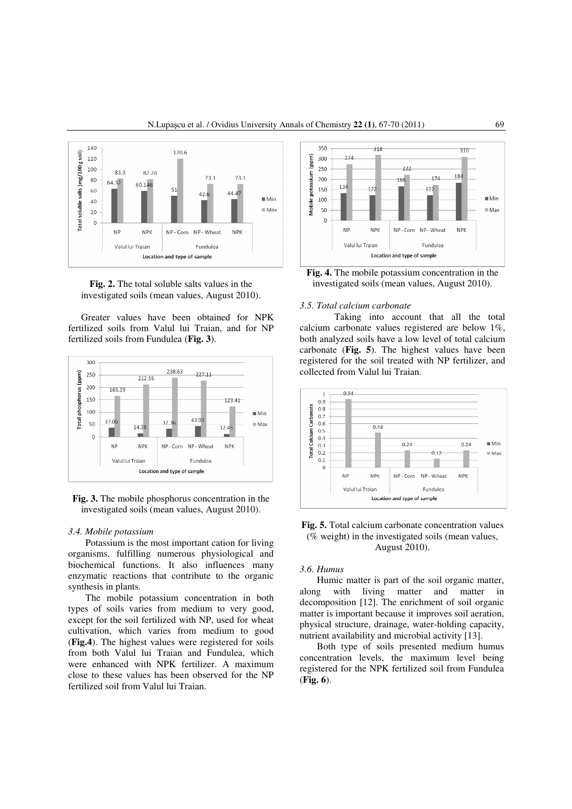

**Fig. 2.** The total soluble salts values in the investigated soils (mean values, August 2010).

Greater values have been obtained for NPK fertilized soils from Valul lui Traian, and for NP fertilized soils from Fundulea (**Fig. 3**).



**Fig. 3.** The mobile phosphorus concentration in the investigated soils (mean values, August 2010).

# *3.4. Mobile potassium*

Potassium is the most important cation for living organisms, fulfilling numerous physiological and biochemical functions. It also influences many enzymatic reactions that contribute to the organic synthesis in plants.

 The mobile potassium concentration in both types of soils varies from medium to very good, except for the soil fertilized with NP, used for wheat cultivation, which varies from medium to good (**Fig.4**). The highest values were registered for soils from both Valul lui Traian and Fundulea, which were enhanced with NPK fertilizer. A maximum close to these values has been observed for the NP fertilized soil from Valul lui Traian.



**Fig. 4.** The mobile potassium concentration in the investigated soils (mean values, August 2010).

# *3.5. Total calcium carbonate*

 Taking into account that all the total calcium carbonate values registered are below 1%, both analyzed soils have a low level of total calcium carbonate (**Fig. 5**). The highest values have been registered for the soil treated with NP fertilizer, and collected from Valul lui Traian.



**Fig. 5.** Total calcium carbonate concentration values (% weight) in the investigated soils (mean values, August 2010).

# *3.6. Humus*

 Humic matter is part of the soil organic matter, along with living matter and matter in decomposition [12]. The enrichment of soil organic matter is important because it improves soil aeration, physical structure, drainage, water-holding capacity, nutrient availability and microbial activity [13].

 Both type of soils presented medium humus concentration levels, the maximum level being registered for the NPK fertilized soil from Fundulea (**Fig. 6**).